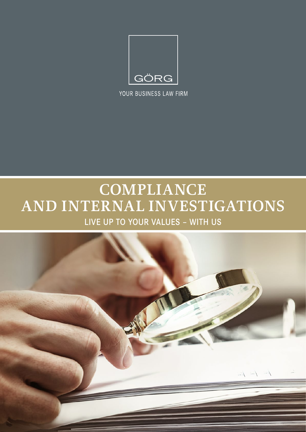

YOUR BUSINESS LAW FIRM

# **COMPLIANCE AND INTERNAL INVESTIGATIONS** LIVE UP TO YOUR VALUES – WITH US

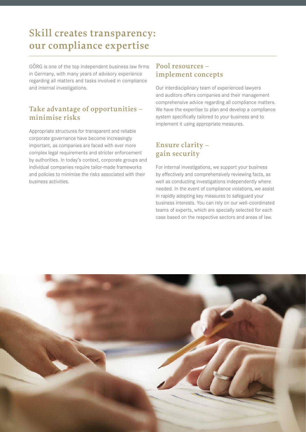# **Skill creates transparency: our compliance expertise**

GÖRG is one of the top independent business law firms in Germany, with many years of advisory experience regarding all matters and tasks involved in compliance and internal investigations.

### **Take advantage of opportunities – minimise risks**

Appropriate structures for transparent and reliable corporate governance have become increasingly important, as companies are faced with ever more complex legal requirements and stricter enforcement by authorities. In today's context, corporate groups and individual companies require tailor-made frameworks and policies to minimise the risks associated with their business activities.

### **Pool resources – implement concepts**

Our interdisciplinary team of experienced lawyers and auditors offers companies and their management comprehensive advice regarding all compliance matters. We have the expertise to plan and develop a compliance system specifically tailored to your business and to implement it using appropriate measures.

### **Ensure clarity – gain security**

For internal investigations, we support your business by effectively and comprehensively reviewing facts, as well as conducting investigations independently where needed. In the event of compliance violations, we assist in rapidly adopting key measures to safeguard your business interests. You can rely on our well-coordinated teams of experts, which are specially selected for each case based on the respective sectors and areas of law.

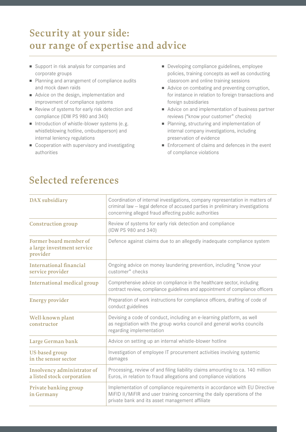# **Security at your side: our range of expertise and advice**

- Support in risk analysis for companies and corporate groups
- Planning and arrangement of compliance audits and mock dawn raids
- Advice on the design, implementation and improvement of compliance systems
- Review of systems for early risk detection and compliance (IDW PS 980 and 340)
- $\blacksquare$  Introduction of whistle-blower systems (e.g. whistleblowing hotline, ombudsperson) and internal leniency regulations
- $\blacksquare$  Cooperation with supervisory and investigating authorities
- Developing compliance guidelines, employee policies, training concepts as well as conducting classroom and online training sessions
- Advice on combating and preventing corruption, for instance in relation to foreign transactions and foreign subsidiaries
- Advice on and implementation of business partner reviews ("know your customer" checks)
- Planning, structuring and implementation of internal company investigations, including preservation of evidence
- $\blacksquare$  Enforcement of claims and defences in the event of compliance violations

# **Selected references**

| DAX subsidiary                                                   | Coordination of internal investigations, company representation in matters of<br>criminal law - legal defence of accused parties in preliminary investigations<br>concerning alleged fraud affecting public authorities |
|------------------------------------------------------------------|-------------------------------------------------------------------------------------------------------------------------------------------------------------------------------------------------------------------------|
| <b>Construction group</b>                                        | Review of systems for early risk detection and compliance<br>(IDW PS 980 and 340)                                                                                                                                       |
| Former board member of<br>a large investment service<br>provider | Defence against claims due to an allegedly inadequate compliance system                                                                                                                                                 |
| <b>International financial</b><br>service provider               | Ongoing advice on money laundering prevention, including "know your<br>customer" checks                                                                                                                                 |
| <b>International medical group</b>                               | Comprehensive advice on compliance in the healthcare sector, including<br>contract review, compliance guidelines and appointment of compliance officers                                                                 |
| <b>Energy provider</b>                                           | Preparation of work instructions for compliance officers, drafting of code of<br>conduct guidelines                                                                                                                     |
| Well-known plant<br>constructor                                  | Devising a code of conduct, including an e-learning platform, as well<br>as negotiation with the group works council and general works councils<br>regarding implementation                                             |
| Large German bank                                                | Advice on setting up an internal whistle-blower hotline                                                                                                                                                                 |
| <b>US-based group</b><br>in the sensor sector                    | Investigation of employee IT procurement activities involving systemic<br>damages                                                                                                                                       |
| Insolvency administrator of<br>a listed stock corporation        | Processing, review of and filing liability claims amounting to ca. 140 million<br>Euros, in relation to fraud allegations and compliance violations                                                                     |
| Private banking group<br>in Germany                              | Implementation of compliance requirements in accordance with EU Directive<br>MiFID II/MiFIR and user training concerning the daily operations of the<br>private bank and its asset management affiliate                 |